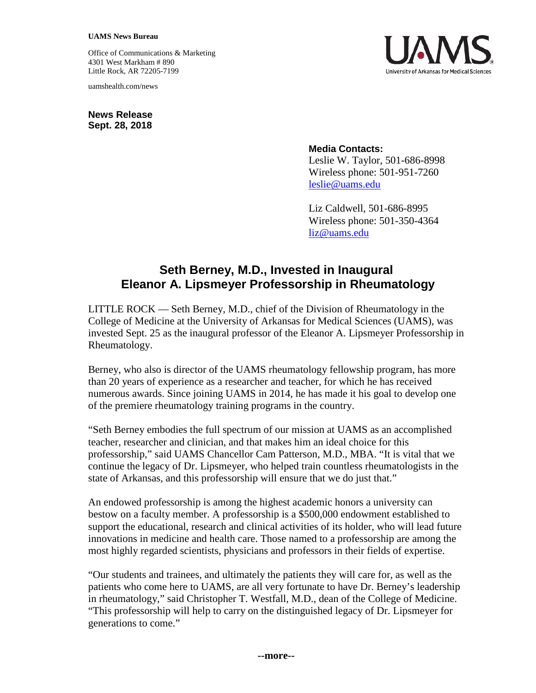#### **UAMS News Bureau**

Office of Communications & Marketing 4301 West Markham # 890 Little Rock, AR 72205-7199

uamshealth.com/news

**News Release Sept. 28, 2018**

# **Media Contacts:**

Leslie W. Taylor, 501-686-8998 Wireless phone: 501-951-7260 [leslie@uams.edu](mailto:leslie@uams.edu)

Liz Caldwell, 501-686-8995 Wireless phone: 501-350-4364 [liz@uams.edu](mailto:liz@uams.edu)

# **Seth Berney, M.D., Invested in Inaugural Eleanor A. Lipsmeyer Professorship in Rheumatology**

LITTLE ROCK — Seth Berney, M.D., chief of the Division of Rheumatology in the College of Medicine at the University of Arkansas for Medical Sciences (UAMS), was invested Sept. 25 as the inaugural professor of the Eleanor A. Lipsmeyer Professorship in Rheumatology.

Berney, who also is director of the UAMS rheumatology fellowship program, has more than 20 years of experience as a researcher and teacher, for which he has received numerous awards. Since joining UAMS in 2014, he has made it his goal to develop one of the premiere rheumatology training programs in the country.

"Seth Berney embodies the full spectrum of our mission at UAMS as an accomplished teacher, researcher and clinician, and that makes him an ideal choice for this professorship," said UAMS Chancellor Cam Patterson, M.D., MBA. "It is vital that we continue the legacy of Dr. Lipsmeyer, who helped train countless rheumatologists in the state of Arkansas, and this professorship will ensure that we do just that."

An endowed professorship is among the highest academic honors a university can bestow on a faculty member. A professorship is a \$500,000 endowment established to support the educational, research and clinical activities of its holder, who will lead future innovations in medicine and health care. Those named to a professorship are among the most highly regarded scientists, physicians and professors in their fields of expertise.

"Our students and trainees, and ultimately the patients they will care for, as well as the patients who come here to UAMS, are all very fortunate to have Dr. Berney's leadership in rheumatology," said Christopher T. Westfall, M.D., dean of the College of Medicine. "This professorship will help to carry on the distinguished legacy of Dr. Lipsmeyer for generations to come."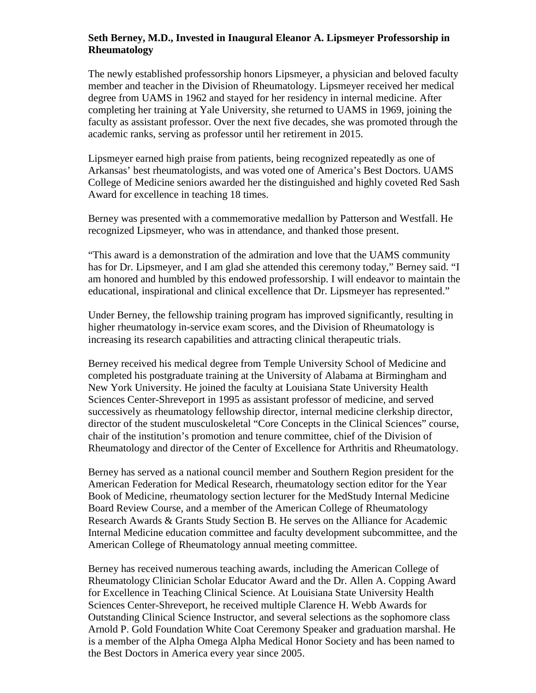## **Seth Berney, M.D., Invested in Inaugural Eleanor A. Lipsmeyer Professorship in Rheumatology**

The newly established professorship honors Lipsmeyer, a physician and beloved faculty member and teacher in the Division of Rheumatology. Lipsmeyer received her medical degree from UAMS in 1962 and stayed for her residency in internal medicine. After completing her training at Yale University, she returned to UAMS in 1969, joining the faculty as assistant professor. Over the next five decades, she was promoted through the academic ranks, serving as professor until her retirement in 2015.

Lipsmeyer earned high praise from patients, being recognized repeatedly as one of Arkansas' best rheumatologists, and was voted one of America's Best Doctors. UAMS College of Medicine seniors awarded her the distinguished and highly coveted Red Sash Award for excellence in teaching 18 times.

Berney was presented with a commemorative medallion by Patterson and Westfall. He recognized Lipsmeyer, who was in attendance, and thanked those present.

"This award is a demonstration of the admiration and love that the UAMS community has for Dr. Lipsmeyer, and I am glad she attended this ceremony today," Berney said. "I am honored and humbled by this endowed professorship. I will endeavor to maintain the educational, inspirational and clinical excellence that Dr. Lipsmeyer has represented."

Under Berney, the fellowship training program has improved significantly, resulting in higher rheumatology in-service exam scores, and the Division of Rheumatology is increasing its research capabilities and attracting clinical therapeutic trials.

Berney received his medical degree from Temple University School of Medicine and completed his postgraduate training at the University of Alabama at Birmingham and New York University. He joined the faculty at Louisiana State University Health Sciences Center-Shreveport in 1995 as assistant professor of medicine, and served successively as rheumatology fellowship director, internal medicine clerkship director, director of the student musculoskeletal "Core Concepts in the Clinical Sciences" course, chair of the institution's promotion and tenure committee, chief of the Division of Rheumatology and director of the Center of Excellence for Arthritis and Rheumatology.

Berney has served as a national council member and Southern Region president for the American Federation for Medical Research, rheumatology section editor for the Year Book of Medicine, rheumatology section lecturer for the MedStudy Internal Medicine Board Review Course, and a member of the American College of Rheumatology Research Awards & Grants Study Section B. He serves on the Alliance for Academic Internal Medicine education committee and faculty development subcommittee, and the American College of Rheumatology annual meeting committee.

Berney has received numerous teaching awards, including the American College of Rheumatology Clinician Scholar Educator Award and the Dr. Allen A. Copping Award for Excellence in Teaching Clinical Science. At Louisiana State University Health Sciences Center-Shreveport, he received multiple Clarence H. Webb Awards for Outstanding Clinical Science Instructor, and several selections as the sophomore class Arnold P. Gold Foundation White Coat Ceremony Speaker and graduation marshal. He is a member of the Alpha Omega Alpha Medical Honor Society and has been named to the Best Doctors in America every year since 2005.